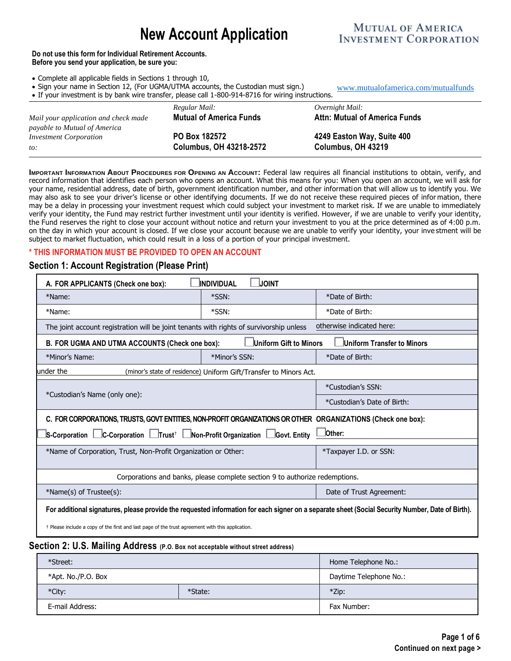# **New Account Application**

## **MUTUAL OF AMERICA INVESTMENT CORPORATION**

[www.mutualofamerica.com/mutualfunds](http://www.mutualofamerica.com/mutualfunds)

#### **Do not use this form for Individual Retirement Accounts. Before you send your application, be sure you:**

- Complete all applicable fields in Sections 1 through 10,
- Sign your name in Section 12, (For UGMA/UTMA accounts, the Custodian must sign.)
- 

| • If your investment is by bank wire transfer, please call 1-800-914-8716 for wiring instructions. |                                                 |                                                  |  |  |  |
|----------------------------------------------------------------------------------------------------|-------------------------------------------------|--------------------------------------------------|--|--|--|
|                                                                                                    | Regular Mail:                                   | Overnight Mail:                                  |  |  |  |
| Mail your application and check made<br>payable to Mutual of America                               | <b>Mutual of America Funds</b>                  | <b>Attn: Mutual of America Funds</b>             |  |  |  |
| <i>Investment Corporation</i>                                                                      | PO Box 182572<br><b>Columbus, OH 43218-2572</b> | 4249 Easton Way, Suite 400<br>Columbus, OH 43219 |  |  |  |
| $to$ :                                                                                             |                                                 |                                                  |  |  |  |

**IMPORTANT INFORMATION ABOUT PROCEDURES FOR OPENING AN ACCOUNT:** Federal law requires all financial institutions to obtain, verify, and record information that identifies each person who opens an account. What this means for you: When you open an account, we will ask for your name, residential address, date of birth, government identification number, and other information that will allow us to identify you. We may also ask to see your driver's license or other identifying documents. If we do not receive these required pieces of infor mation, there may be a delay in processing your investment request which could subject your investment to market risk. If we are unable to immediately verify your identity, the Fund may restrict further investment until your identity is verified. However, if we are unable to verify your identity, the Fund reserves the right to close your account without notice and return your investment to you at the price determined as of 4:00 p.m. on the day in which your account is closed. If we close your account because we are unable to verify your identity, your inve stment will be subject to market fluctuation, which could result in a loss of a portion of your principal investment.

## **\* THIS INFORMATION MUST BE PROVIDED TO OPEN AN ACCOUNT**

## **Section 1: Account Registration (Please Print)**

| A. FOR APPLICANTS (Check one box):                                                                                                               | <b>JINDIVIDUAL</b> | <b>JOINT</b>             |                             |  |
|--------------------------------------------------------------------------------------------------------------------------------------------------|--------------------|--------------------------|-----------------------------|--|
| *Name:                                                                                                                                           | *SSN:              |                          | *Date of Birth:             |  |
| *Name:                                                                                                                                           | *SSN:              |                          | *Date of Birth:             |  |
| The joint account registration will be joint tenants with rights of survivorship unless                                                          |                    |                          | otherwise indicated here:   |  |
| B. FOR UGMA AND UTMA ACCOUNTS (Check one box):                                                                                                   |                    | Uniform Gift to Minors   | Uniform Transfer to Minors  |  |
| *Minor's Name:                                                                                                                                   | *Minor's SSN:      |                          | *Date of Birth:             |  |
| under the<br>(minor's state of residence) Uniform Gift/Transfer to Minors Act.                                                                   |                    |                          |                             |  |
|                                                                                                                                                  |                    |                          | *Custodian's SSN:           |  |
| *Custodian's Name (only one):                                                                                                                    |                    |                          | *Custodian's Date of Birth: |  |
| C. FOR CORPORATIONS, TRUSTS, GOVT ENTITIES, NON-PROFIT ORGANIZATIONS OR OTHER ORGANIZATIONS (Check one box):                                     |                    |                          |                             |  |
| $\,$ s-Corporation $\, \Box$ C-Corporation $\, \Box$ Trust $^* \, \Box$ Non-Profit Organization $\, \Box$ Govt. Entity<br><b>Other:</b>          |                    |                          |                             |  |
| *Name of Corporation, Trust, Non-Profit Organization or Other:                                                                                   |                    |                          | *Taxpayer I.D. or SSN:      |  |
|                                                                                                                                                  |                    |                          |                             |  |
| Corporations and banks, please complete section 9 to authorize redemptions.                                                                      |                    |                          |                             |  |
| *Name(s) of Trustee(s):                                                                                                                          |                    | Date of Trust Agreement: |                             |  |
| For additional signatures, please provide the requested information for each signer on a separate sheet (Social Security Number, Date of Birth). |                    |                          |                             |  |
| + Please include a copy of the first and last page of the trust agreement with this application.                                                 |                    |                          |                             |  |

#### **Section 2: U.S. Mailing Address (P.O. Box not acceptable without street address)**

| *Street:           |  | Home Telephone No.:    |
|--------------------|--|------------------------|
| *Apt. No./P.O. Box |  | Daytime Telephone No.: |
| *City:<br>*State:  |  | $*$ Zip:               |
| E-mail Address:    |  | Fax Number:            |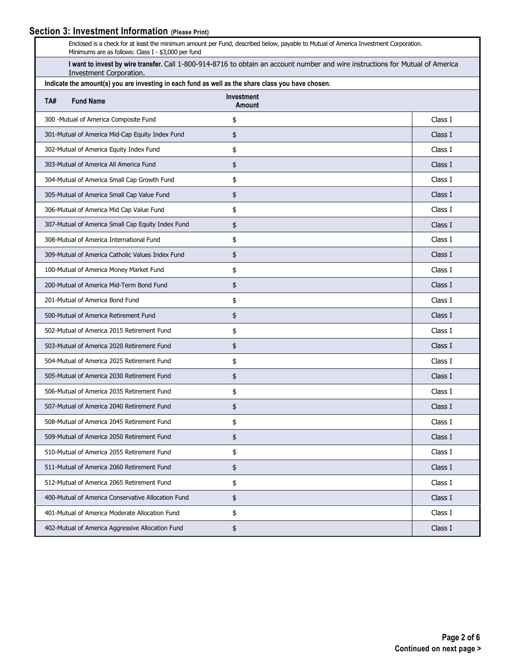# **Section 3: Investment Information (Please Print)**

| Enclosed is a check for at least the minimum amount per Fund, described below, payable to Mutual of America Investment Corporation.<br>Minimums are as follows: Class I - \$3,000 per fund |                                                                                                   |                                    |         |  |
|--------------------------------------------------------------------------------------------------------------------------------------------------------------------------------------------|---------------------------------------------------------------------------------------------------|------------------------------------|---------|--|
| I want to invest by wire transfer. Call 1-800-914-8716 to obtain an account number and wire instructions for Mutual of America<br>Investment Corporation.                                  |                                                                                                   |                                    |         |  |
|                                                                                                                                                                                            | Indicate the amount(s) you are investing in each fund as well as the share class you have chosen. |                                    |         |  |
| TA#                                                                                                                                                                                        | <b>Fund Name</b>                                                                                  | <b>Investment</b><br><b>Amount</b> |         |  |
|                                                                                                                                                                                            | 300 - Mutual of America Composite Fund                                                            | \$                                 | Class I |  |
|                                                                                                                                                                                            | 301-Mutual of America Mid-Cap Equity Index Fund                                                   | \$                                 | Class I |  |
|                                                                                                                                                                                            | 302-Mutual of America Equity Index Fund                                                           | \$                                 | Class I |  |
|                                                                                                                                                                                            | 303-Mutual of America All America Fund                                                            | \$                                 | Class I |  |
|                                                                                                                                                                                            | 304-Mutual of America Small Cap Growth Fund                                                       | \$                                 | Class I |  |
|                                                                                                                                                                                            | 305-Mutual of America Small Cap Value Fund                                                        | \$                                 | Class I |  |
|                                                                                                                                                                                            | 306-Mutual of America Mid Cap Value Fund                                                          | \$                                 | Class I |  |
|                                                                                                                                                                                            | 307-Mutual of America Small Cap Equity Index Fund                                                 | \$                                 | Class I |  |
|                                                                                                                                                                                            | 308-Mutual of America International Fund                                                          | \$                                 | Class I |  |
|                                                                                                                                                                                            | 309-Mutual of America Catholic Values Index Fund                                                  | \$                                 | Class I |  |
|                                                                                                                                                                                            | 100-Mutual of America Money Market Fund                                                           | \$                                 | Class I |  |
|                                                                                                                                                                                            | 200-Mutual of America Mid-Term Bond Fund                                                          | \$                                 | Class I |  |
|                                                                                                                                                                                            | 201-Mutual of America Bond Fund                                                                   | \$                                 | Class I |  |
|                                                                                                                                                                                            | 500-Mutual of America Retirement Fund                                                             | \$                                 | Class I |  |
|                                                                                                                                                                                            | 502-Mutual of America 2015 Retirement Fund                                                        | \$                                 | Class I |  |
|                                                                                                                                                                                            | 503-Mutual of America 2020 Retirement Fund                                                        | \$                                 | Class I |  |
|                                                                                                                                                                                            | 504-Mutual of America 2025 Retirement Fund                                                        | \$                                 | Class I |  |
|                                                                                                                                                                                            | 505-Mutual of America 2030 Retirement Fund                                                        | \$                                 | Class I |  |
|                                                                                                                                                                                            | 506-Mutual of America 2035 Retirement Fund                                                        | \$                                 | Class I |  |
|                                                                                                                                                                                            | 507-Mutual of America 2040 Retirement Fund                                                        | \$                                 | Class I |  |
|                                                                                                                                                                                            | 508-Mutual of America 2045 Retirement Fund                                                        | \$                                 | Class I |  |
|                                                                                                                                                                                            | 509-Mutual of America 2050 Retirement Fund                                                        | \$                                 | Class I |  |
|                                                                                                                                                                                            | 510-Mutual of America 2055 Retirement Fund                                                        | \$                                 | Class I |  |
|                                                                                                                                                                                            | 511-Mutual of America 2060 Retirement Fund                                                        | \$                                 | Class I |  |
|                                                                                                                                                                                            | 512-Mutual of America 2065 Retirement Fund                                                        | \$                                 | Class I |  |
|                                                                                                                                                                                            | 400-Mutual of America Conservative Allocation Fund                                                | \$                                 | Class I |  |
|                                                                                                                                                                                            | 401-Mutual of America Moderate Allocation Fund                                                    | \$                                 | Class I |  |
|                                                                                                                                                                                            | 402-Mutual of America Aggressive Allocation Fund                                                  | \$                                 | Class I |  |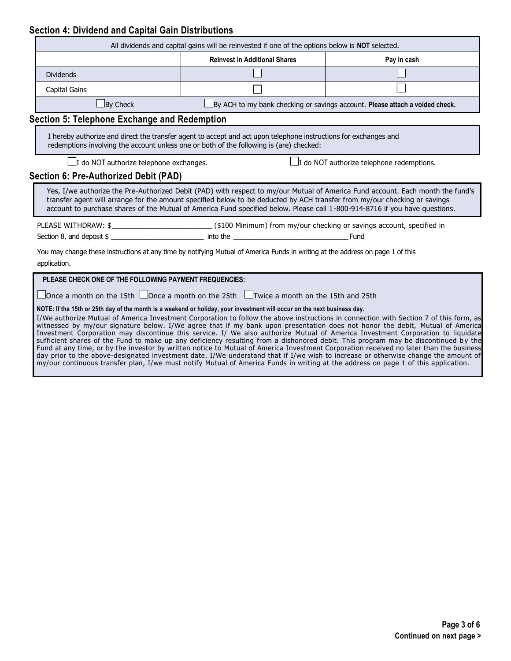## **Section 4: Dividend and Capital Gain Distributions**

|                                                                                                                                                | All dividends and capital gains will be reinvested if one of the options below is <b>NOT</b> selected.                                                                                                                                                   |                                                                                                                                                                                                                                                                                                                                                                                                                                                                                                                                                                                                                                                                                            |  |  |
|------------------------------------------------------------------------------------------------------------------------------------------------|----------------------------------------------------------------------------------------------------------------------------------------------------------------------------------------------------------------------------------------------------------|--------------------------------------------------------------------------------------------------------------------------------------------------------------------------------------------------------------------------------------------------------------------------------------------------------------------------------------------------------------------------------------------------------------------------------------------------------------------------------------------------------------------------------------------------------------------------------------------------------------------------------------------------------------------------------------------|--|--|
|                                                                                                                                                | <b>Reinvest in Additional Shares</b><br>Pay in cash                                                                                                                                                                                                      |                                                                                                                                                                                                                                                                                                                                                                                                                                                                                                                                                                                                                                                                                            |  |  |
| <b>Dividends</b>                                                                                                                               |                                                                                                                                                                                                                                                          |                                                                                                                                                                                                                                                                                                                                                                                                                                                                                                                                                                                                                                                                                            |  |  |
| Capital Gains                                                                                                                                  |                                                                                                                                                                                                                                                          |                                                                                                                                                                                                                                                                                                                                                                                                                                                                                                                                                                                                                                                                                            |  |  |
| $\Box$ By Check                                                                                                                                |                                                                                                                                                                                                                                                          | $\Box$ By ACH to my bank checking or savings account. Please attach a voided check.                                                                                                                                                                                                                                                                                                                                                                                                                                                                                                                                                                                                        |  |  |
| <b>Section 5: Telephone Exchange and Redemption</b>                                                                                            |                                                                                                                                                                                                                                                          |                                                                                                                                                                                                                                                                                                                                                                                                                                                                                                                                                                                                                                                                                            |  |  |
|                                                                                                                                                | I hereby authorize and direct the transfer agent to accept and act upon telephone instructions for exchanges and<br>redemptions involving the account unless one or both of the following is (are) checked:                                              |                                                                                                                                                                                                                                                                                                                                                                                                                                                                                                                                                                                                                                                                                            |  |  |
| $\Box$ I do NOT authorize telephone exchanges.                                                                                                 |                                                                                                                                                                                                                                                          | $\Box$ I do NOT authorize telephone redemptions.                                                                                                                                                                                                                                                                                                                                                                                                                                                                                                                                                                                                                                           |  |  |
| Section 6: Pre-Authorized Debit (PAD)                                                                                                          |                                                                                                                                                                                                                                                          |                                                                                                                                                                                                                                                                                                                                                                                                                                                                                                                                                                                                                                                                                            |  |  |
|                                                                                                                                                | transfer agent will arrange for the amount specified below to be deducted by ACH transfer from my/our checking or savings<br>account to purchase shares of the Mutual of America Fund specified below. Please call 1-800-914-8716 if you have questions. | Yes, I/we authorize the Pre-Authorized Debit (PAD) with respect to my/our Mutual of America Fund account. Each month the fund's                                                                                                                                                                                                                                                                                                                                                                                                                                                                                                                                                            |  |  |
|                                                                                                                                                |                                                                                                                                                                                                                                                          |                                                                                                                                                                                                                                                                                                                                                                                                                                                                                                                                                                                                                                                                                            |  |  |
|                                                                                                                                                |                                                                                                                                                                                                                                                          |                                                                                                                                                                                                                                                                                                                                                                                                                                                                                                                                                                                                                                                                                            |  |  |
| You may change these instructions at any time by notifying Mutual of America Funds in writing at the address on page 1 of this<br>application. |                                                                                                                                                                                                                                                          |                                                                                                                                                                                                                                                                                                                                                                                                                                                                                                                                                                                                                                                                                            |  |  |
| PLEASE CHECK ONE OF THE FOLLOWING PAYMENT FREQUENCIES:                                                                                         |                                                                                                                                                                                                                                                          |                                                                                                                                                                                                                                                                                                                                                                                                                                                                                                                                                                                                                                                                                            |  |  |
| $\Box$ Once a month on the 15th $\Box$ Once a month on the 25th $\Box$ Twice a month on the 15th and 25th                                      |                                                                                                                                                                                                                                                          |                                                                                                                                                                                                                                                                                                                                                                                                                                                                                                                                                                                                                                                                                            |  |  |
|                                                                                                                                                | NOTE: If the 15th or 25th day of the month is a weekend or holiday, your investment will occur on the next business day.                                                                                                                                 | I/We authorize Mutual of America Investment Corporation to follow the above instructions in connection with Section 7 of this form, as<br>witnessed by my/our signature below. I/We agree that if my bank upon presentation does not honor the debit, Mutual of America<br>Investment Corporation may discontinue this service. I/ We also authorize Mutual of America Investment Corporation to liquidate<br>sufficient shares of the Fund to make up any deficiency resulting from a dishonored debit. This program may be discontinued by the<br>Fund at any time, or by the investor by written notice to Mutual of America Investment Corporation received no later than the business |  |  |

day prior to the above-designated investment date. I/We understand that if I/we wish to increase or otherwise change the amount of my/our continuous transfer plan, I/we must notify Mutual of America Funds in writing at the address on page 1 of this application.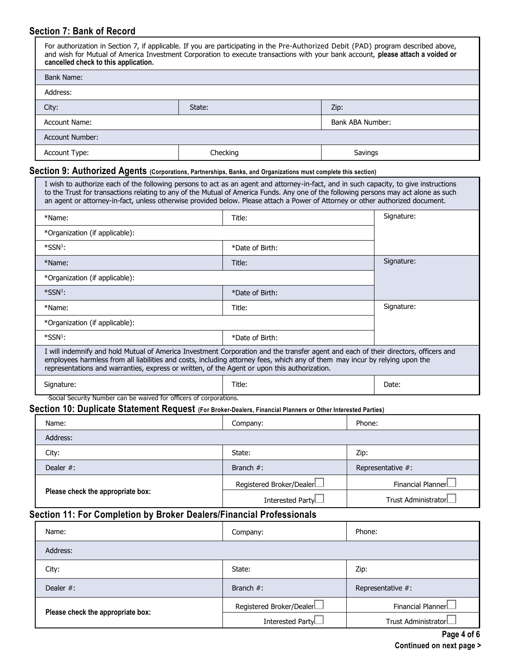## **Section 7: Bank of Record**

| For authorization in Section 7, if applicable. If you are participating in the Pre-Authorized Debit (PAD) program described above,<br>and wish for Mutual of America Investment Corporation to execute transactions with your bank account, please attach a voided or<br>cancelled check to this application.                                                                                                   |        |                                                                               |                  |            |
|-----------------------------------------------------------------------------------------------------------------------------------------------------------------------------------------------------------------------------------------------------------------------------------------------------------------------------------------------------------------------------------------------------------------|--------|-------------------------------------------------------------------------------|------------------|------------|
| <b>Bank Name:</b>                                                                                                                                                                                                                                                                                                                                                                                               |        |                                                                               |                  |            |
| Address:                                                                                                                                                                                                                                                                                                                                                                                                        |        |                                                                               |                  |            |
| City:                                                                                                                                                                                                                                                                                                                                                                                                           | State: |                                                                               | Zip:             |            |
| <b>Account Name:</b>                                                                                                                                                                                                                                                                                                                                                                                            |        |                                                                               | Bank ABA Number: |            |
| <b>Account Number:</b>                                                                                                                                                                                                                                                                                                                                                                                          |        |                                                                               |                  |            |
| Account Type:                                                                                                                                                                                                                                                                                                                                                                                                   |        | Checking                                                                      | Savings          |            |
| Section 9: Authorized Agents (Corporations, Partnerships, Banks, and Organizations must complete this section)                                                                                                                                                                                                                                                                                                  |        |                                                                               |                  |            |
| I wish to authorize each of the following persons to act as an agent and attorney-in-fact, and in such capacity, to give instructions<br>to the Trust for transactions relating to any of the Mutual of America Funds. Any one of the following persons may act alone as such<br>an agent or attorney-in-fact, unless otherwise provided below. Please attach a Power of Attorney or other authorized document. |        |                                                                               |                  |            |
| *Name:                                                                                                                                                                                                                                                                                                                                                                                                          |        |                                                                               | Title:           |            |
| *Organization (if applicable):                                                                                                                                                                                                                                                                                                                                                                                  |        |                                                                               |                  |            |
| $*SSN1$ :                                                                                                                                                                                                                                                                                                                                                                                                       |        | *Date of Birth:                                                               |                  |            |
| *Name:                                                                                                                                                                                                                                                                                                                                                                                                          |        | Title:                                                                        |                  | Signature: |
| *Organization (if applicable):                                                                                                                                                                                                                                                                                                                                                                                  |        |                                                                               |                  |            |
| *SSN <sup>1</sup> :                                                                                                                                                                                                                                                                                                                                                                                             |        | *Date of Birth:                                                               |                  |            |
| *Name:                                                                                                                                                                                                                                                                                                                                                                                                          |        | Title:                                                                        |                  | Signature: |
| *Organization (if applicable):                                                                                                                                                                                                                                                                                                                                                                                  |        |                                                                               |                  |            |
| $*SSN1$ :                                                                                                                                                                                                                                                                                                                                                                                                       |        | *Date of Birth:                                                               |                  |            |
| I will indemnify and hold Mutual of America Investment Corporation and the transfer agent and each of their directors, officers and<br>employees harmless from all liabilities and costs, including attorney fees, which any of them may incur by relying upon the<br>representations and warranties, express or written, of the Agent or upon this authorization.                                              |        |                                                                               |                  |            |
| Signature:                                                                                                                                                                                                                                                                                                                                                                                                      |        | Title:<br>'Social Security Number can be waived for officers of corporations. |                  | Date:      |

# **Section 10: Duplicate Statement Request (For Broker-Dealers, Financial Planners or Other Interested Parties)**

| Name:                             |  | Company:                 | Phone:               |
|-----------------------------------|--|--------------------------|----------------------|
| Address:                          |  |                          |                      |
| City:                             |  | State:                   | Zip:                 |
| Dealer $#$ :                      |  | Branch $#$ :             | Representative #:    |
| Please check the appropriate box: |  | Registered Broker/Dealer | Financial Planner    |
|                                   |  | Interested PartyL        | Trust AdministratorL |

# **Section 11: For Completion by Broker Dealers/Financial Professionals**

| Name:                             | Company:                 | Phone:                   |
|-----------------------------------|--------------------------|--------------------------|
| Address:                          |                          |                          |
| City:                             | State:                   | Zip:                     |
| Dealer $#$ :                      | Branch $#$ :             | Representative #:        |
| Please check the appropriate box: | Registered Broker/Dealer | Financial Planner $\Box$ |
|                                   | Interested Party         | Trust AdministratorL     |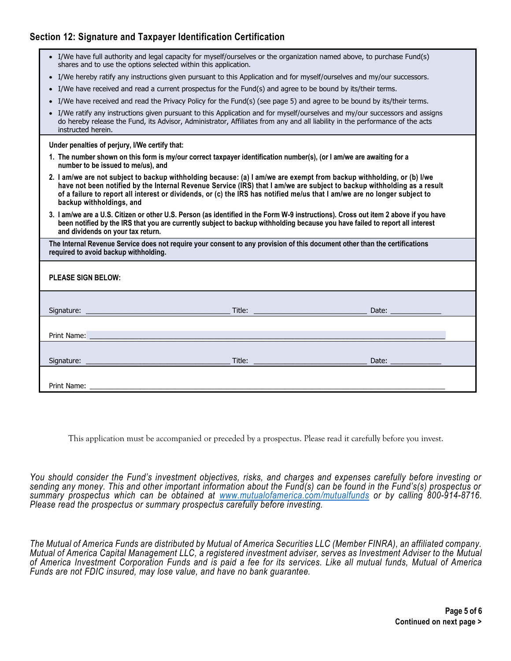## **Section 12: Signature and Taxpayer Identification Certification**

| • I/We have full authority and legal capacity for myself/ourselves or the organization named above, to purchase Fund(s)<br>shares and to use the options selected within this application.                                                                                                               |                                                                                                                                                                                                                                                                                                                                                                               |                                                                                                                              |  |  |  |
|----------------------------------------------------------------------------------------------------------------------------------------------------------------------------------------------------------------------------------------------------------------------------------------------------------|-------------------------------------------------------------------------------------------------------------------------------------------------------------------------------------------------------------------------------------------------------------------------------------------------------------------------------------------------------------------------------|------------------------------------------------------------------------------------------------------------------------------|--|--|--|
| • I/We hereby ratify any instructions given pursuant to this Application and for myself/ourselves and my/our successors.                                                                                                                                                                                 |                                                                                                                                                                                                                                                                                                                                                                               |                                                                                                                              |  |  |  |
| • I/We have received and read a current prospectus for the Fund(s) and agree to be bound by its/their terms.                                                                                                                                                                                             |                                                                                                                                                                                                                                                                                                                                                                               |                                                                                                                              |  |  |  |
| • I/We have received and read the Privacy Policy for the Fund(s) (see page 5) and agree to be bound by its/their terms.                                                                                                                                                                                  |                                                                                                                                                                                                                                                                                                                                                                               |                                                                                                                              |  |  |  |
| do hereby release the Fund, its Advisor, Administrator, Affiliates from any and all liability in the performance of the acts<br>instructed herein.                                                                                                                                                       |                                                                                                                                                                                                                                                                                                                                                                               | • I/We ratify any instructions given pursuant to this Application and for myself/ourselves and my/our successors and assigns |  |  |  |
| Under penalties of perjury, I/We certify that:                                                                                                                                                                                                                                                           |                                                                                                                                                                                                                                                                                                                                                                               |                                                                                                                              |  |  |  |
| 1. The number shown on this form is my/our correct taxpayer identification number(s), (or I am/we are awaiting for a<br>number to be issued to me/us), and                                                                                                                                               |                                                                                                                                                                                                                                                                                                                                                                               |                                                                                                                              |  |  |  |
| backup withholdings, and                                                                                                                                                                                                                                                                                 | 2. I am/we are not subject to backup withholding because: (a) I am/we are exempt from backup withholding, or (b) I/we<br>have not been notified by the Internal Revenue Service (IRS) that I am/we are subject to backup withholding as a result<br>of a failure to report all interest or dividends, or (c) the IRS has notified me/us that I am/we are no longer subject to |                                                                                                                              |  |  |  |
| 3. I am/we are a U.S. Citizen or other U.S. Person (as identified in the Form W-9 instructions). Cross out item 2 above if you have<br>been notified by the IRS that you are currently subject to backup withholding because you have failed to report all interest<br>and dividends on your tax return. |                                                                                                                                                                                                                                                                                                                                                                               |                                                                                                                              |  |  |  |
| The Internal Revenue Service does not require your consent to any provision of this document other than the certifications<br>required to avoid backup withholding.                                                                                                                                      |                                                                                                                                                                                                                                                                                                                                                                               |                                                                                                                              |  |  |  |
| <b>PLEASE SIGN BELOW:</b>                                                                                                                                                                                                                                                                                |                                                                                                                                                                                                                                                                                                                                                                               |                                                                                                                              |  |  |  |
|                                                                                                                                                                                                                                                                                                          |                                                                                                                                                                                                                                                                                                                                                                               |                                                                                                                              |  |  |  |
|                                                                                                                                                                                                                                                                                                          |                                                                                                                                                                                                                                                                                                                                                                               |                                                                                                                              |  |  |  |
|                                                                                                                                                                                                                                                                                                          |                                                                                                                                                                                                                                                                                                                                                                               |                                                                                                                              |  |  |  |
|                                                                                                                                                                                                                                                                                                          |                                                                                                                                                                                                                                                                                                                                                                               |                                                                                                                              |  |  |  |
|                                                                                                                                                                                                                                                                                                          |                                                                                                                                                                                                                                                                                                                                                                               |                                                                                                                              |  |  |  |
|                                                                                                                                                                                                                                                                                                          |                                                                                                                                                                                                                                                                                                                                                                               |                                                                                                                              |  |  |  |
|                                                                                                                                                                                                                                                                                                          |                                                                                                                                                                                                                                                                                                                                                                               |                                                                                                                              |  |  |  |
|                                                                                                                                                                                                                                                                                                          |                                                                                                                                                                                                                                                                                                                                                                               |                                                                                                                              |  |  |  |

This application must be accompanied or preceded by a prospectus. Please read it carefully before you invest.

*You should consider the Fund's investment objectives, risks, and charges and expenses carefully before investing or sending any money. This and other important information about the Fund(s) can be found in the Fund's(s) prospectus or summary prospectus which can be obtained at [www.mutualofamerica.com/](http://www.mutualofamerica.com/)mutualfunds or by calling 800-914-8716. Please read the prospectus or summary prospectus carefully before investing.* 

*The Mutual of America Funds are distributed by Mutual of America Securities LLC (Member FINRA), an affiliated company. Mutual of America Capital Management LLC, a registered investment adviser, serves as Investment Adviser to the Mutual of America Investment Corporation Funds and is paid a fee for its services. Like all mutual funds, Mutual of America Funds are not FDIC insured, may lose value, and have no bank guarantee.*